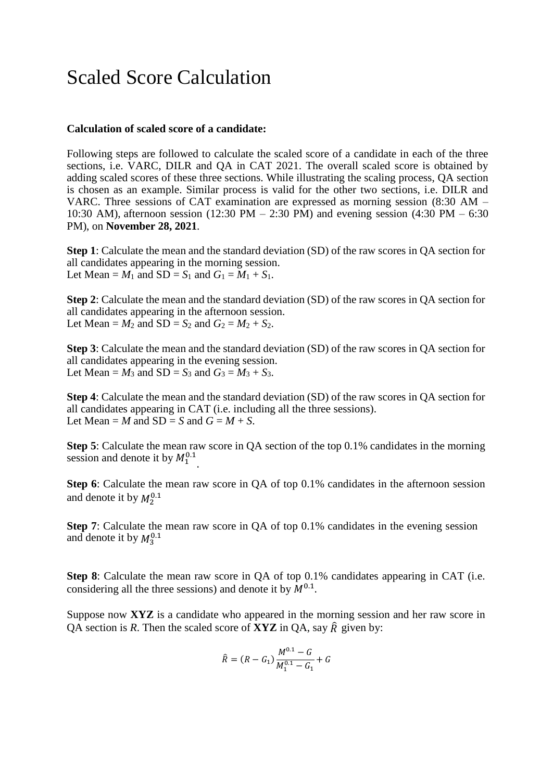## Scaled Score Calculation

## **Calculation of scaled score of a candidate:**

Following steps are followed to calculate the scaled score of a candidate in each of the three sections, i.e. VARC, DILR and QA in CAT 2021. The overall scaled score is obtained by adding scaled scores of these three sections. While illustrating the scaling process, QA section is chosen as an example. Similar process is valid for the other two sections, i.e. DILR and VARC. Three sessions of CAT examination are expressed as morning session (8:30 AM – 10:30 AM), afternoon session (12:30 PM – 2:30 PM) and evening session (4:30 PM – 6:30 PM), on **November 28, 2021**.

**Step 1**: Calculate the mean and the standard deviation (SD) of the raw scores in QA section for all candidates appearing in the morning session. Let Mean =  $M_1$  and SD =  $S_1$  and  $G_1 = M_1 + S_1$ .

**Step 2**: Calculate the mean and the standard deviation (SD) of the raw scores in QA section for all candidates appearing in the afternoon session. Let Mean =  $M_2$  and SD =  $S_2$  and  $G_2 = M_2 + S_2$ .

**Step 3**: Calculate the mean and the standard deviation (SD) of the raw scores in QA section for all candidates appearing in the evening session. Let Mean =  $M_3$  and SD =  $S_3$  and  $G_3 = M_3 + S_3$ .

**Step 4**: Calculate the mean and the standard deviation (SD) of the raw scores in QA section for all candidates appearing in CAT (i.e. including all the three sessions). Let Mean = *M* and  $SD = S$  and  $G = M + S$ .

session and denote it by  $M_1^{0.1}$ . **Step 5**: Calculate the mean raw score in QA section of the top 0.1% candidates in the morning

**Step 6**: Calculate the mean raw score in OA of top 0.1% candidates in the afternoon session and denote it by  $M_2^{0.1}$ 

**Step 7:** Calculate the mean raw score in QA of top 0.1% candidates in the evening session and denote it by  $M_3^{0.1}$ 

**Step 8**: Calculate the mean raw score in QA of top 0.1% candidates appearing in CAT (i.e. considering all the three sessions) and denote it by  $M^{0.1}$ .

Suppose now **XYZ** is a candidate who appeared in the morning session and her raw score in QA section is *R*. Then the scaled score of **XYZ** in QA, say  $\hat{R}$  given by:

$$
\hat{R} = (R - G_1) \frac{M^{0.1} - G}{M_1^{0.1} - G_1} + G
$$